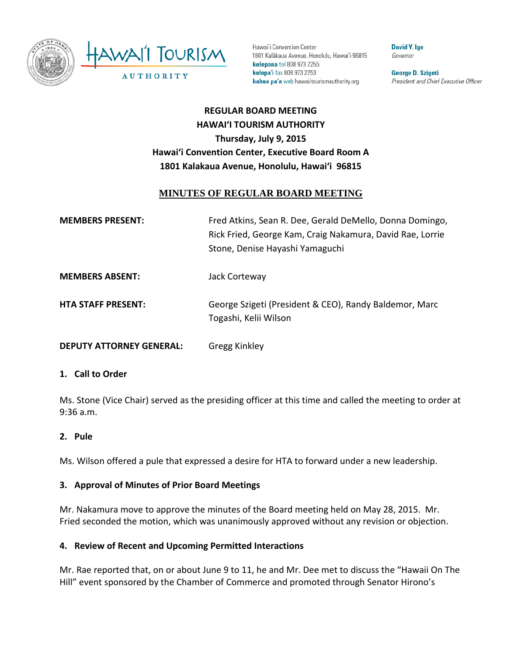

Hawai'i Convention Center 1801 Kalākaua Avenue, Honolulu, Hawai'i 96815 kelepona tel 808 973 2255 kelepa'i fax 808 973 2253 kahua pa'a web hawaiitourismauthority.org

**David Y. Ige** Governor

George D. Szigeti President and Chief Executive Officer

# **REGULAR BOARD MEETING HAWAI'I TOURISM AUTHORITY Thursday, July 9, 2015 Hawai'i Convention Center, Executive Board Room A 1801 Kalakaua Avenue, Honolulu, Hawai'i 96815**

### **MINUTES OF REGULAR BOARD MEETING**

| <b>MEMBERS PRESENT:</b>         | Fred Atkins, Sean R. Dee, Gerald DeMello, Donna Domingo,<br>Rick Fried, George Kam, Craig Nakamura, David Rae, Lorrie<br>Stone, Denise Hayashi Yamaguchi |
|---------------------------------|----------------------------------------------------------------------------------------------------------------------------------------------------------|
| <b>MEMBERS ABSENT:</b>          | Jack Corteway                                                                                                                                            |
| <b>HTA STAFF PRESENT:</b>       | George Szigeti (President & CEO), Randy Baldemor, Marc<br>Togashi, Kelii Wilson                                                                          |
| <b>DEPUTY ATTORNEY GENERAL:</b> | Gregg Kinkley                                                                                                                                            |

#### **1. Call to Order**

Ms. Stone (Vice Chair) served as the presiding officer at this time and called the meeting to order at 9:36 a.m.

#### **2. Pule**

Ms. Wilson offered a pule that expressed a desire for HTA to forward under a new leadership.

#### **3. Approval of Minutes of Prior Board Meetings**

Mr. Nakamura move to approve the minutes of the Board meeting held on May 28, 2015. Mr. Fried seconded the motion, which was unanimously approved without any revision or objection.

#### **4. Review of Recent and Upcoming Permitted Interactions**

Mr. Rae reported that, on or about June 9 to 11, he and Mr. Dee met to discuss the "Hawaii On The Hill" event sponsored by the Chamber of Commerce and promoted through Senator Hirono's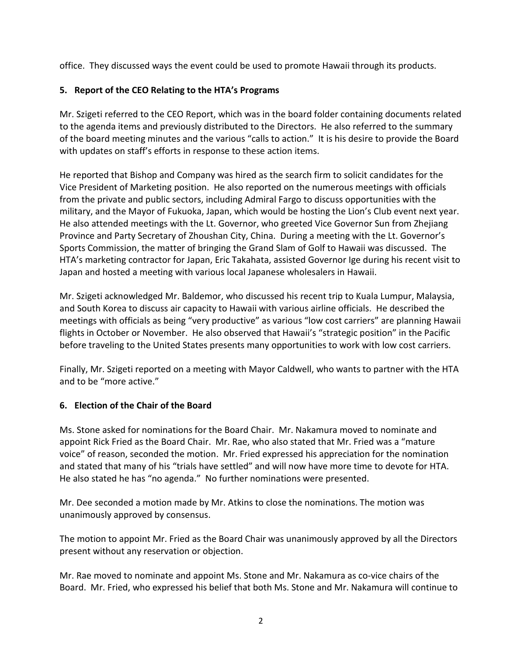office. They discussed ways the event could be used to promote Hawaii through its products.

### **5. Report of the CEO Relating to the HTA's Programs**

Mr. Szigeti referred to the CEO Report, which was in the board folder containing documents related to the agenda items and previously distributed to the Directors. He also referred to the summary of the board meeting minutes and the various "calls to action." It is his desire to provide the Board with updates on staff's efforts in response to these action items.

He reported that Bishop and Company was hired as the search firm to solicit candidates for the Vice President of Marketing position. He also reported on the numerous meetings with officials from the private and public sectors, including Admiral Fargo to discuss opportunities with the military, and the Mayor of Fukuoka, Japan, which would be hosting the Lion's Club event next year. He also attended meetings with the Lt. Governor, who greeted Vice Governor Sun from Zhejiang Province and Party Secretary of Zhoushan City, China. During a meeting with the Lt. Governor's Sports Commission, the matter of bringing the Grand Slam of Golf to Hawaii was discussed. The HTA's marketing contractor for Japan, Eric Takahata, assisted Governor Ige during his recent visit to Japan and hosted a meeting with various local Japanese wholesalers in Hawaii.

Mr. Szigeti acknowledged Mr. Baldemor, who discussed his recent trip to Kuala Lumpur, Malaysia, and South Korea to discuss air capacity to Hawaii with various airline officials. He described the meetings with officials as being "very productive" as various "low cost carriers" are planning Hawaii flights in October or November. He also observed that Hawaii's "strategic position" in the Pacific before traveling to the United States presents many opportunities to work with low cost carriers.

Finally, Mr. Szigeti reported on a meeting with Mayor Caldwell, who wants to partner with the HTA and to be "more active."

#### **6. Election of the Chair of the Board**

Ms. Stone asked for nominations for the Board Chair. Mr. Nakamura moved to nominate and appoint Rick Fried as the Board Chair. Mr. Rae, who also stated that Mr. Fried was a "mature voice" of reason, seconded the motion. Mr. Fried expressed his appreciation for the nomination and stated that many of his "trials have settled" and will now have more time to devote for HTA. He also stated he has "no agenda." No further nominations were presented.

Mr. Dee seconded a motion made by Mr. Atkins to close the nominations. The motion was unanimously approved by consensus.

The motion to appoint Mr. Fried as the Board Chair was unanimously approved by all the Directors present without any reservation or objection.

Mr. Rae moved to nominate and appoint Ms. Stone and Mr. Nakamura as co-vice chairs of the Board. Mr. Fried, who expressed his belief that both Ms. Stone and Mr. Nakamura will continue to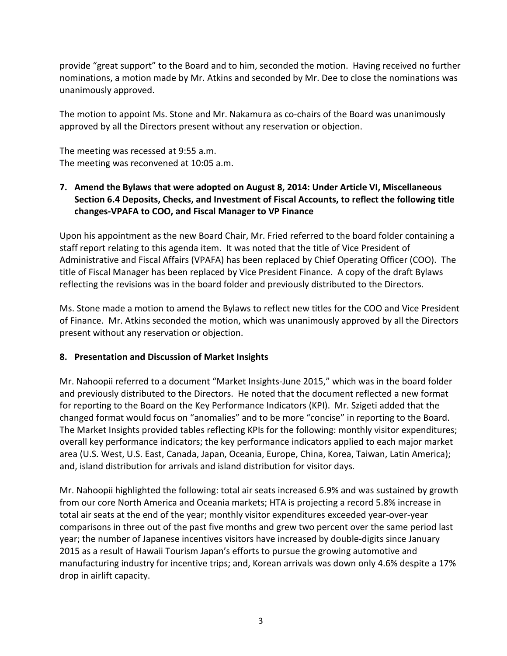provide "great support" to the Board and to him, seconded the motion. Having received no further nominations, a motion made by Mr. Atkins and seconded by Mr. Dee to close the nominations was unanimously approved.

The motion to appoint Ms. Stone and Mr. Nakamura as co-chairs of the Board was unanimously approved by all the Directors present without any reservation or objection.

The meeting was recessed at 9:55 a.m. The meeting was reconvened at 10:05 a.m.

### **7. Amend the Bylaws that were adopted on August 8, 2014: Under Article VI, Miscellaneous Section 6.4 Deposits, Checks, and Investment of Fiscal Accounts, to reflect the following title changes-VPAFA to COO, and Fiscal Manager to VP Finance**

Upon his appointment as the new Board Chair, Mr. Fried referred to the board folder containing a staff report relating to this agenda item. It was noted that the title of Vice President of Administrative and Fiscal Affairs (VPAFA) has been replaced by Chief Operating Officer (COO). The title of Fiscal Manager has been replaced by Vice President Finance. A copy of the draft Bylaws reflecting the revisions was in the board folder and previously distributed to the Directors.

Ms. Stone made a motion to amend the Bylaws to reflect new titles for the COO and Vice President of Finance. Mr. Atkins seconded the motion, which was unanimously approved by all the Directors present without any reservation or objection.

#### **8. Presentation and Discussion of Market Insights**

Mr. Nahoopii referred to a document "Market Insights-June 2015," which was in the board folder and previously distributed to the Directors. He noted that the document reflected a new format for reporting to the Board on the Key Performance Indicators (KPI). Mr. Szigeti added that the changed format would focus on "anomalies" and to be more "concise" in reporting to the Board. The Market Insights provided tables reflecting KPIs for the following: monthly visitor expenditures; overall key performance indicators; the key performance indicators applied to each major market area (U.S. West, U.S. East, Canada, Japan, Oceania, Europe, China, Korea, Taiwan, Latin America); and, island distribution for arrivals and island distribution for visitor days.

Mr. Nahoopii highlighted the following: total air seats increased 6.9% and was sustained by growth from our core North America and Oceania markets; HTA is projecting a record 5.8% increase in total air seats at the end of the year; monthly visitor expenditures exceeded year-over-year comparisons in three out of the past five months and grew two percent over the same period last year; the number of Japanese incentives visitors have increased by double-digits since January 2015 as a result of Hawaii Tourism Japan's efforts to pursue the growing automotive and manufacturing industry for incentive trips; and, Korean arrivals was down only 4.6% despite a 17% drop in airlift capacity.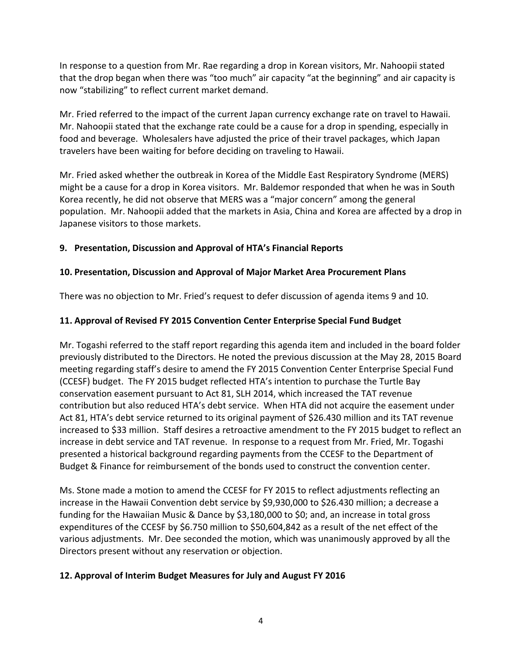In response to a question from Mr. Rae regarding a drop in Korean visitors, Mr. Nahoopii stated that the drop began when there was "too much" air capacity "at the beginning" and air capacity is now "stabilizing" to reflect current market demand.

Mr. Fried referred to the impact of the current Japan currency exchange rate on travel to Hawaii. Mr. Nahoopii stated that the exchange rate could be a cause for a drop in spending, especially in food and beverage. Wholesalers have adjusted the price of their travel packages, which Japan travelers have been waiting for before deciding on traveling to Hawaii.

Mr. Fried asked whether the outbreak in Korea of the Middle East Respiratory Syndrome (MERS) might be a cause for a drop in Korea visitors. Mr. Baldemor responded that when he was in South Korea recently, he did not observe that MERS was a "major concern" among the general population. Mr. Nahoopii added that the markets in Asia, China and Korea are affected by a drop in Japanese visitors to those markets.

### **9. Presentation, Discussion and Approval of HTA's Financial Reports**

## **10. Presentation, Discussion and Approval of Major Market Area Procurement Plans**

There was no objection to Mr. Fried's request to defer discussion of agenda items 9 and 10.

# **11. Approval of Revised FY 2015 Convention Center Enterprise Special Fund Budget**

Mr. Togashi referred to the staff report regarding this agenda item and included in the board folder previously distributed to the Directors. He noted the previous discussion at the May 28, 2015 Board meeting regarding staff's desire to amend the FY 2015 Convention Center Enterprise Special Fund (CCESF) budget. The FY 2015 budget reflected HTA's intention to purchase the Turtle Bay conservation easement pursuant to Act 81, SLH 2014, which increased the TAT revenue contribution but also reduced HTA's debt service. When HTA did not acquire the easement under Act 81, HTA's debt service returned to its original payment of \$26.430 million and its TAT revenue increased to \$33 million. Staff desires a retroactive amendment to the FY 2015 budget to reflect an increase in debt service and TAT revenue. In response to a request from Mr. Fried, Mr. Togashi presented a historical background regarding payments from the CCESF to the Department of Budget & Finance for reimbursement of the bonds used to construct the convention center.

Ms. Stone made a motion to amend the CCESF for FY 2015 to reflect adjustments reflecting an increase in the Hawaii Convention debt service by \$9,930,000 to \$26.430 million; a decrease a funding for the Hawaiian Music & Dance by \$3,180,000 to \$0; and, an increase in total gross expenditures of the CCESF by \$6.750 million to \$50,604,842 as a result of the net effect of the various adjustments. Mr. Dee seconded the motion, which was unanimously approved by all the Directors present without any reservation or objection.

### **12. Approval of Interim Budget Measures for July and August FY 2016**